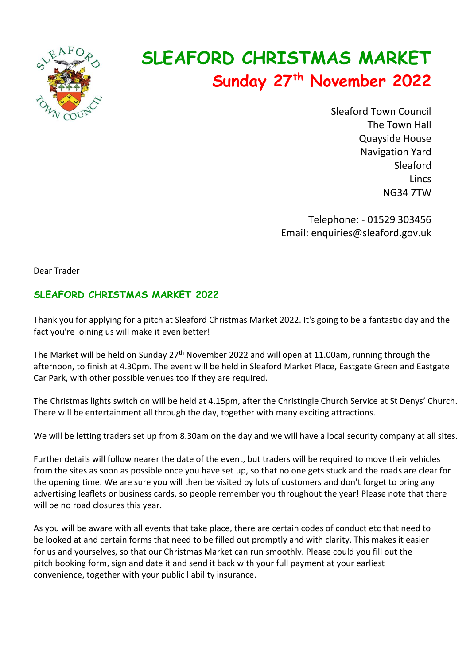

## **SLEAFORD CHRISTMAS MARKET Sunday 27th November 2022**

Sleaford Town Council The Town Hall Quayside House Navigation Yard Sleaford **Lincs** NG34 7TW

Telephone: - 01529 303456 Email: [enquiries@sleaford.gov.uk](mailto:enquiries@sleaford.gov.uk)

Dear Trader

## **SLEAFORD CHRISTMAS MARKET 2022**

Thank you for applying for a pitch at Sleaford Christmas Market 2022. It's going to be a fantastic day and the fact you're joining us will make it even better!

The Market will be held on Sunday 27<sup>th</sup> November 2022 and will open at 11.00am, running through the afternoon, to finish at 4.30pm. The event will be held in Sleaford Market Place, Eastgate Green and Eastgate Car Park, with other possible venues too if they are required.

The Christmas lights switch on will be held at 4.15pm, after the Christingle Church Service at St Denys' Church. There will be entertainment all through the day, together with many exciting attractions.

We will be letting traders set up from 8.30am on the day and we will have a local security company at all sites.

Further details will follow nearer the date of the event, but traders will be required to move their vehicles from the sites as soon as possible once you have set up, so that no one gets stuck and the roads are clear for the opening time. We are sure you will then be visited by lots of customers and don't forget to bring any advertising leaflets or business cards, so people remember you throughout the year! Please note that there will be no road closures this year.

As you will be aware with all events that take place, there are certain codes of conduct etc that need to be looked at and certain forms that need to be filled out promptly and with clarity. This makes it easier for us and yourselves, so that our Christmas Market can run smoothly. Please could you fill out the pitch booking form, sign and date it and send it back with your full payment at your earliest convenience, together with your public liability insurance.